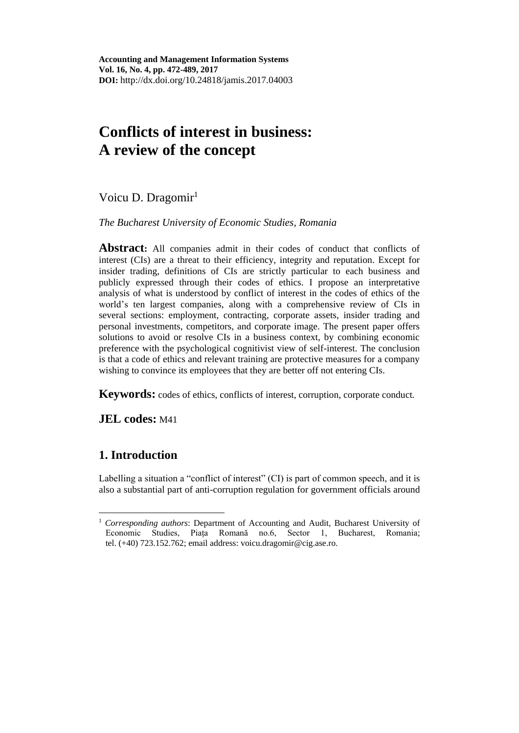# **Conflicts of interest in business: A review of the concept**

Voicu D. Dragomir<sup>1</sup>

*The Bucharest University of Economic Studies, Romania*

**Abstract:** All companies admit in their codes of conduct that conflicts of interest (CIs) are a threat to their efficiency, integrity and reputation. Except for insider trading, definitions of CIs are strictly particular to each business and publicly expressed through their codes of ethics. I propose an interpretative analysis of what is understood by conflict of interest in the codes of ethics of the world's ten largest companies, along with a comprehensive review of CIs in several sections: employment, contracting, corporate assets, insider trading and personal investments, competitors, and corporate image. The present paper offers solutions to avoid or resolve CIs in a business context, by combining economic preference with the psychological cognitivist view of self-interest. The conclusion is that a code of ethics and relevant training are protective measures for a company wishing to convince its employees that they are better off not entering CIs.

**Keywords:** codes of ethics, conflicts of interest, corruption, corporate conduct*.*

**JEL codes:** M41

# **1. Introduction**

 $\overline{a}$ 

Labelling a situation a "conflict of interest" (CI) is part of common speech, and it is also a substantial part of anti-corruption regulation for government officials around

<sup>&</sup>lt;sup>1</sup> *Corresponding authors*: Department of Accounting and Audit, Bucharest University of Economic Studies, Piața Romană no.6, Sector 1, Bucharest, Romania; tel. (+40) 723.152.762; email address: voicu.dragomir@cig.ase.ro.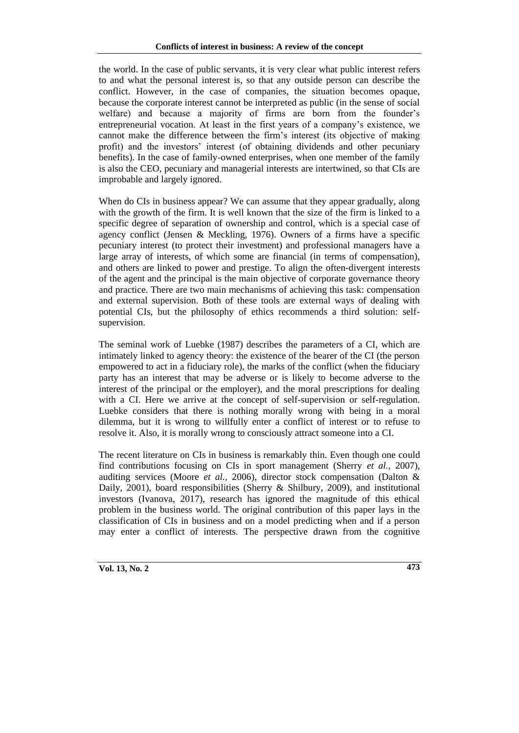the world. In the case of public servants, it is very clear what public interest refers to and what the personal interest is, so that any outside person can describe the conflict. However, in the case of companies, the situation becomes opaque, because the corporate interest cannot be interpreted as public (in the sense of social welfare) and because a majority of firms are born from the founder's entrepreneurial vocation. At least in the first years of a company's existence, we cannot make the difference between the firm's interest (its objective of making profit) and the investors' interest (of obtaining dividends and other pecuniary benefits). In the case of family-owned enterprises, when one member of the family is also the CEO, pecuniary and managerial interests are intertwined, so that CIs are improbable and largely ignored.

When do CIs in business appear? We can assume that they appear gradually, along with the growth of the firm. It is well known that the size of the firm is linked to a specific degree of separation of ownership and control, which is a special case of agency conflict (Jensen & Meckling, 1976). Owners of a firms have a specific pecuniary interest (to protect their investment) and professional managers have a large array of interests, of which some are financial (in terms of compensation), and others are linked to power and prestige. To align the often-divergent interests of the agent and the principal is the main objective of corporate governance theory and practice. There are two main mechanisms of achieving this task: compensation and external supervision. Both of these tools are external ways of dealing with potential CIs, but the philosophy of ethics recommends a third solution: selfsupervision.

The seminal work of Luebke (1987) describes the parameters of a CI, which are intimately linked to agency theory: the existence of the bearer of the CI (the person empowered to act in a fiduciary role), the marks of the conflict (when the fiduciary party has an interest that may be adverse or is likely to become adverse to the interest of the principal or the employer), and the moral prescriptions for dealing with a CI. Here we arrive at the concept of self-supervision or self-regulation. Luebke considers that there is nothing morally wrong with being in a moral dilemma, but it is wrong to willfully enter a conflict of interest or to refuse to resolve it. Also, it is morally wrong to consciously attract someone into a CI.

The recent literature on CIs in business is remarkably thin. Even though one could find contributions focusing on CIs in sport management (Sherry *et al.,* 2007), auditing services (Moore *et al.,* 2006), director stock compensation (Dalton & Daily, 2001), board responsibilities (Sherry & Shilbury, 2009), and institutional investors (Ivanova, 2017), research has ignored the magnitude of this ethical problem in the business world. The original contribution of this paper lays in the classification of CIs in business and on a model predicting when and if a person may enter a conflict of interests. The perspective drawn from the cognitive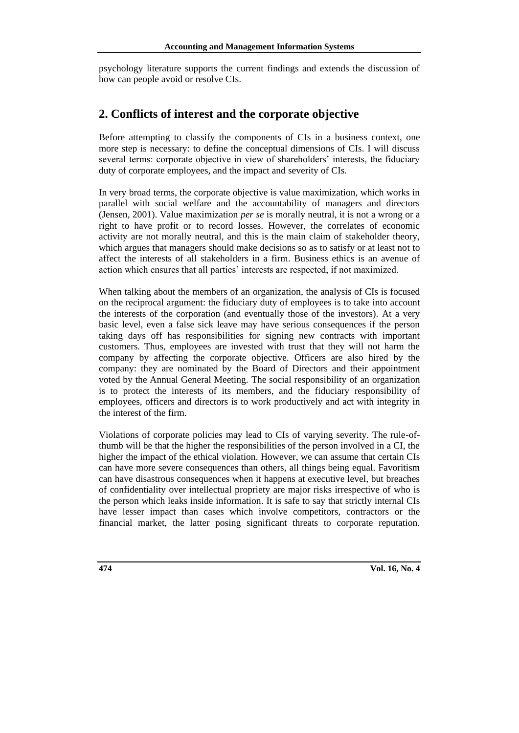psychology literature supports the current findings and extends the discussion of how can people avoid or resolve CIs.

# **2. Conflicts of interest and the corporate objective**

Before attempting to classify the components of CIs in a business context, one more step is necessary: to define the conceptual dimensions of CIs. I will discuss several terms: corporate objective in view of shareholders' interests, the fiduciary duty of corporate employees, and the impact and severity of CIs.

In very broad terms, the corporate objective is value maximization, which works in parallel with social welfare and the accountability of managers and directors (Jensen, 2001). Value maximization *per se* is morally neutral, it is not a wrong or a right to have profit or to record losses. However, the correlates of economic activity are not morally neutral, and this is the main claim of stakeholder theory, which argues that managers should make decisions so as to satisfy or at least not to affect the interests of all stakeholders in a firm. Business ethics is an avenue of action which ensures that all parties' interests are respected, if not maximized.

When talking about the members of an organization, the analysis of CIs is focused on the reciprocal argument: the fiduciary duty of employees is to take into account the interests of the corporation (and eventually those of the investors). At a very basic level, even a false sick leave may have serious consequences if the person taking days off has responsibilities for signing new contracts with important customers. Thus, employees are invested with trust that they will not harm the company by affecting the corporate objective. Officers are also hired by the company: they are nominated by the Board of Directors and their appointment voted by the Annual General Meeting. The social responsibility of an organization is to protect the interests of its members, and the fiduciary responsibility of employees, officers and directors is to work productively and act with integrity in the interest of the firm.

Violations of corporate policies may lead to CIs of varying severity. The rule-ofthumb will be that the higher the responsibilities of the person involved in a CI, the higher the impact of the ethical violation. However, we can assume that certain CIs can have more severe consequences than others, all things being equal. Favoritism can have disastrous consequences when it happens at executive level, but breaches of confidentiality over intellectual propriety are major risks irrespective of who is the person which leaks inside information. It is safe to say that strictly internal CIs have lesser impact than cases which involve competitors, contractors or the financial market, the latter posing significant threats to corporate reputation.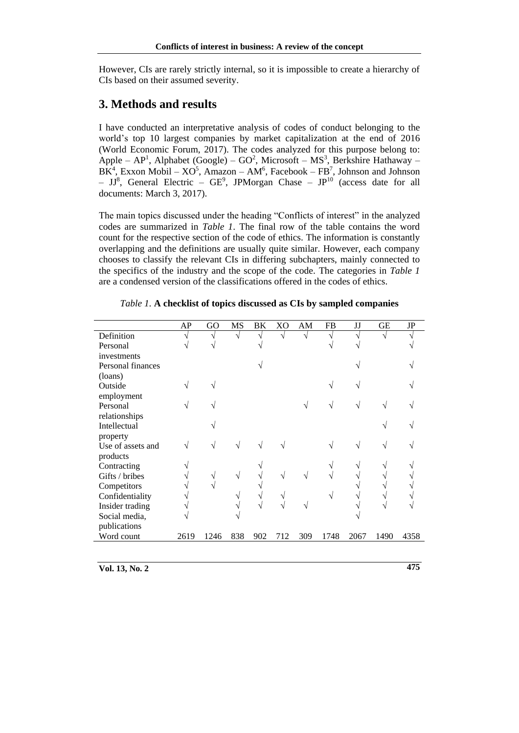However, CIs are rarely strictly internal, so it is impossible to create a hierarchy of CIs based on their assumed severity.

## **3. Methods and results**

I have conducted an interpretative analysis of codes of conduct belonging to the world's top 10 largest companies by market capitalization at the end of 2016 (World Economic Forum, 2017). The codes analyzed for this purpose belong to: Apple – AP<sup>1</sup>, Alphabet (Google) – GO<sup>2</sup>, Microsoft – MS<sup>3</sup>, Berkshire Hathaway –  $BK^4$ , Exxon Mobil –  $XO^5$ , Amazon – AM<sup>6</sup>, Facebook – FB<sup>7</sup>, Johnson and Johnson  $-$  JJ<sup>8</sup>, General Electric  $-$  GE<sup>9</sup>, JPMorgan Chase  $-$  JP<sup>10</sup> (access date for all documents: March 3, 2017).

The main topics discussed under the heading "Conflicts of interest" in the analyzed codes are summarized in *Table 1*. The final row of the table contains the word count for the respective section of the code of ethics. The information is constantly overlapping and the definitions are usually quite similar. However, each company chooses to classify the relevant CIs in differing subchapters, mainly connected to the specifics of the industry and the scope of the code. The categories in *Table 1* are a condensed version of the classifications offered in the codes of ethics.

|                   | AP   | GO   | <b>MS</b> | BK  | X <sub>O</sub> | AM  | FB   | JJ   | GЕ   | JP   |
|-------------------|------|------|-----------|-----|----------------|-----|------|------|------|------|
| Definition        |      |      | V         | ٦   | N              | N   |      |      | V    |      |
| Personal          |      |      |           |     |                |     |      |      |      |      |
| investments       |      |      |           |     |                |     |      |      |      |      |
| Personal finances |      |      |           |     |                |     |      |      |      |      |
| (loans)           |      |      |           |     |                |     |      |      |      |      |
| Outside           |      |      |           |     |                |     |      |      |      |      |
| employment        |      |      |           |     |                |     |      |      |      |      |
| Personal          |      |      |           |     |                |     |      |      |      |      |
| relationships     |      |      |           |     |                |     |      |      |      |      |
| Intellectual      |      |      |           |     |                |     |      |      |      |      |
| property          |      |      |           |     |                |     |      |      |      |      |
| Use of assets and |      |      |           |     |                |     |      |      |      |      |
| products          |      |      |           |     |                |     |      |      |      |      |
| Contracting       |      |      |           |     |                |     |      |      |      |      |
| Gifts / bribes    |      |      | V         |     |                |     |      |      |      |      |
| Competitors       |      |      |           |     |                |     |      |      |      |      |
| Confidentiality   |      |      |           |     |                |     |      |      |      |      |
| Insider trading   |      |      |           |     |                |     |      |      |      |      |
| Social media,     |      |      |           |     |                |     |      |      |      |      |
| publications      |      |      |           |     |                |     |      |      |      |      |
| Word count        | 2619 | 1246 | 838       | 902 | 712            | 309 | 1748 | 2067 | 1490 | 4358 |
|                   |      |      |           |     |                |     |      |      |      |      |

*Table 1.* **A checklist of topics discussed as CIs by sampled companies**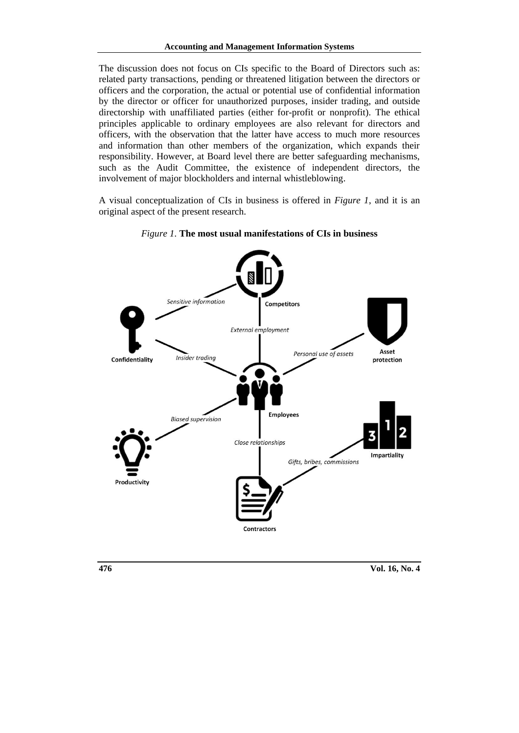The discussion does not focus on CIs specific to the Board of Directors such as: related party transactions, pending or threatened litigation between the directors or officers and the corporation, the actual or potential use of confidential information by the director or officer for unauthorized purposes, insider trading, and outside directorship with unaffiliated parties (either for-profit or nonprofit). The ethical principles applicable to ordinary employees are also relevant for directors and officers, with the observation that the latter have access to much more resources and information than other members of the organization, which expands their responsibility. However, at Board level there are better safeguarding mechanisms, such as the Audit Committee, the existence of independent directors, the involvement of major blockholders and internal whistleblowing.

A visual conceptualization of CIs in business is offered in *Figure 1*, and it is an original aspect of the present research.



#### *Figure 1.* **The most usual manifestations of CIs in business**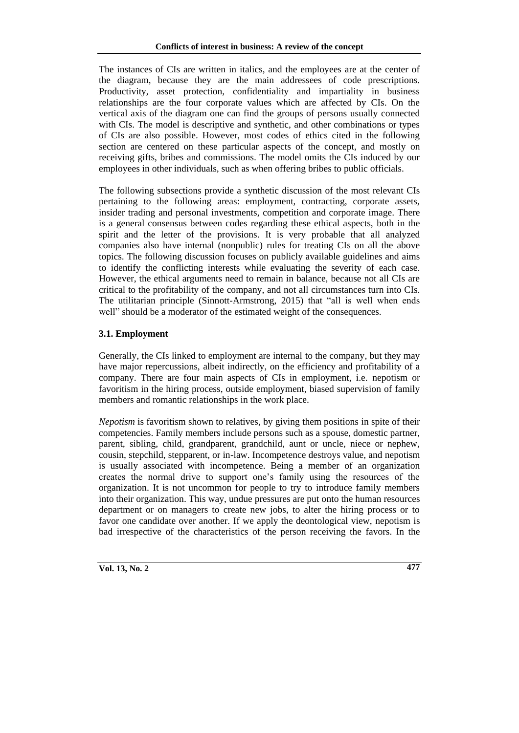The instances of CIs are written in italics, and the employees are at the center of the diagram, because they are the main addressees of code prescriptions. Productivity, asset protection, confidentiality and impartiality in business relationships are the four corporate values which are affected by CIs. On the vertical axis of the diagram one can find the groups of persons usually connected with CIs. The model is descriptive and synthetic, and other combinations or types of CIs are also possible. However, most codes of ethics cited in the following section are centered on these particular aspects of the concept, and mostly on receiving gifts, bribes and commissions. The model omits the CIs induced by our employees in other individuals, such as when offering bribes to public officials.

The following subsections provide a synthetic discussion of the most relevant CIs pertaining to the following areas: employment, contracting, corporate assets, insider trading and personal investments, competition and corporate image. There is a general consensus between codes regarding these ethical aspects, both in the spirit and the letter of the provisions. It is very probable that all analyzed companies also have internal (nonpublic) rules for treating CIs on all the above topics. The following discussion focuses on publicly available guidelines and aims to identify the conflicting interests while evaluating the severity of each case. However, the ethical arguments need to remain in balance, because not all CIs are critical to the profitability of the company, and not all circumstances turn into CIs. The utilitarian principle (Sinnott-Armstrong, 2015) that "all is well when ends well" should be a moderator of the estimated weight of the consequences.

#### **3.1. Employment**

Generally, the CIs linked to employment are internal to the company, but they may have major repercussions, albeit indirectly, on the efficiency and profitability of a company. There are four main aspects of CIs in employment, i.e. nepotism or favoritism in the hiring process, outside employment, biased supervision of family members and romantic relationships in the work place.

*Nepotism* is favoritism shown to relatives, by giving them positions in spite of their competencies. Family members include persons such as a spouse, domestic partner, parent, sibling, child, grandparent, grandchild, aunt or uncle, niece or nephew, cousin, stepchild, stepparent, or in-law. Incompetence destroys value, and nepotism is usually associated with incompetence. Being a member of an organization creates the normal drive to support one's family using the resources of the organization. It is not uncommon for people to try to introduce family members into their organization. This way, undue pressures are put onto the human resources department or on managers to create new jobs, to alter the hiring process or to favor one candidate over another. If we apply the deontological view, nepotism is bad irrespective of the characteristics of the person receiving the favors. In the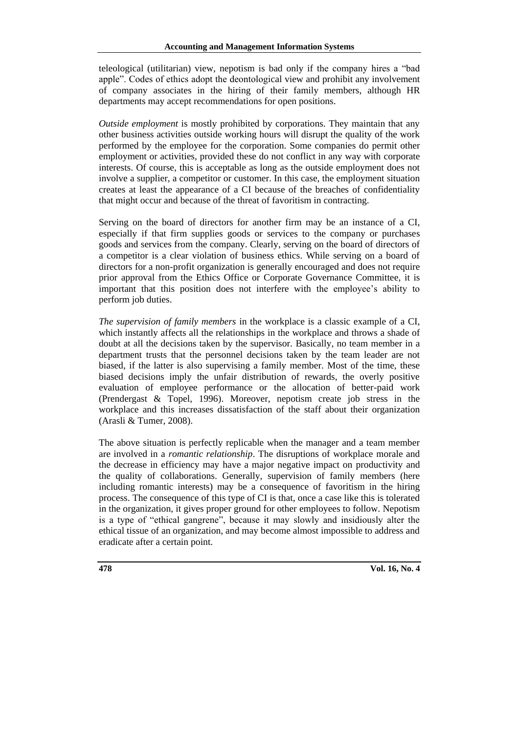teleological (utilitarian) view, nepotism is bad only if the company hires a "bad apple". Codes of ethics adopt the deontological view and prohibit any involvement of company associates in the hiring of their family members, although HR departments may accept recommendations for open positions.

*Outside employment* is mostly prohibited by corporations. They maintain that any other business activities outside working hours will disrupt the quality of the work performed by the employee for the corporation. Some companies do permit other employment or activities, provided these do not conflict in any way with corporate interests. Of course, this is acceptable as long as the outside employment does not involve a supplier, a competitor or customer. In this case, the employment situation creates at least the appearance of a CI because of the breaches of confidentiality that might occur and because of the threat of favoritism in contracting.

Serving on the board of directors for another firm may be an instance of a CI, especially if that firm supplies goods or services to the company or purchases goods and services from the company. Clearly, serving on the board of directors of a competitor is a clear violation of business ethics. While serving on a board of directors for a non-profit organization is generally encouraged and does not require prior approval from the Ethics Office or Corporate Governance Committee, it is important that this position does not interfere with the employee's ability to perform job duties.

*The supervision of family members* in the workplace is a classic example of a CI, which instantly affects all the relationships in the workplace and throws a shade of doubt at all the decisions taken by the supervisor. Basically, no team member in a department trusts that the personnel decisions taken by the team leader are not biased, if the latter is also supervising a family member. Most of the time, these biased decisions imply the unfair distribution of rewards, the overly positive evaluation of employee performance or the allocation of better-paid work (Prendergast & Topel, 1996). Moreover, nepotism create job stress in the workplace and this increases dissatisfaction of the staff about their organization (Arasli & Tumer, 2008).

The above situation is perfectly replicable when the manager and a team member are involved in a *romantic relationship*. The disruptions of workplace morale and the decrease in efficiency may have a major negative impact on productivity and the quality of collaborations. Generally, supervision of family members (here including romantic interests) may be a consequence of favoritism in the hiring process. The consequence of this type of CI is that, once a case like this is tolerated in the organization, it gives proper ground for other employees to follow. Nepotism is a type of "ethical gangrene", because it may slowly and insidiously alter the ethical tissue of an organization, and may become almost impossible to address and eradicate after a certain point.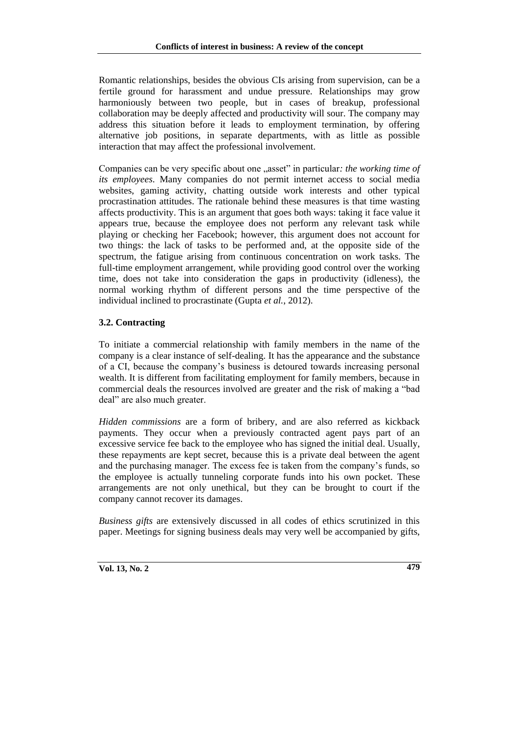Romantic relationships, besides the obvious CIs arising from supervision, can be a fertile ground for harassment and undue pressure. Relationships may grow harmoniously between two people, but in cases of breakup, professional collaboration may be deeply affected and productivity will sour. The company may address this situation before it leads to employment termination, by offering alternative job positions, in separate departments, with as little as possible interaction that may affect the professional involvement.

Companies can be very specific about one "asset" in particular: *the working time of its employees*. Many companies do not permit internet access to social media websites, gaming activity, chatting outside work interests and other typical procrastination attitudes. The rationale behind these measures is that time wasting affects productivity. This is an argument that goes both ways: taking it face value it appears true, because the employee does not perform any relevant task while playing or checking her Facebook; however, this argument does not account for two things: the lack of tasks to be performed and, at the opposite side of the spectrum, the fatigue arising from continuous concentration on work tasks. The full-time employment arrangement, while providing good control over the working time, does not take into consideration the gaps in productivity (idleness), the normal working rhythm of different persons and the time perspective of the individual inclined to procrastinate (Gupta *et al.*, 2012).

### **3.2. Contracting**

To initiate a commercial relationship with family members in the name of the company is a clear instance of self-dealing. It has the appearance and the substance of a CI, because the company's business is detoured towards increasing personal wealth. It is different from facilitating employment for family members, because in commercial deals the resources involved are greater and the risk of making a "bad deal" are also much greater.

*Hidden commissions* are a form of bribery, and are also referred as kickback payments. They occur when a previously contracted agent pays part of an excessive service fee back to the employee who has signed the initial deal. Usually, these repayments are kept secret, because this is a private deal between the agent and the purchasing manager. The excess fee is taken from the company's funds, so the employee is actually tunneling corporate funds into his own pocket. These arrangements are not only unethical, but they can be brought to court if the company cannot recover its damages.

*Business gifts* are extensively discussed in all codes of ethics scrutinized in this paper. Meetings for signing business deals may very well be accompanied by gifts,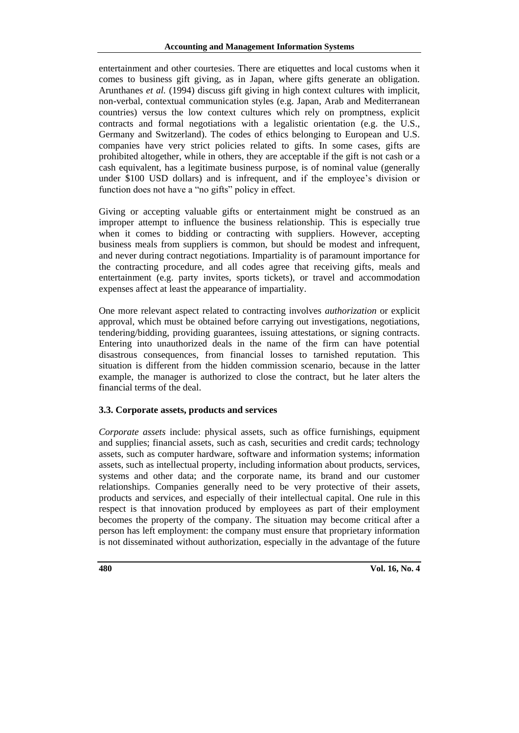entertainment and other courtesies. There are etiquettes and local customs when it comes to business gift giving, as in Japan, where gifts generate an obligation. Arunthanes *et al.* (1994) discuss gift giving in high context cultures with implicit, non-verbal, contextual communication styles (e.g. Japan, Arab and Mediterranean countries) versus the low context cultures which rely on promptness, explicit contracts and formal negotiations with a legalistic orientation (e.g. the U.S., Germany and Switzerland). The codes of ethics belonging to European and U.S. companies have very strict policies related to gifts. In some cases, gifts are prohibited altogether, while in others, they are acceptable if the gift is not cash or a cash equivalent, has a legitimate business purpose, is of nominal value (generally under \$100 USD dollars) and is infrequent, and if the employee's division or function does not have a "no gifts" policy in effect.

Giving or accepting valuable gifts or entertainment might be construed as an improper attempt to influence the business relationship. This is especially true when it comes to bidding or contracting with suppliers. However, accepting business meals from suppliers is common, but should be modest and infrequent, and never during contract negotiations. Impartiality is of paramount importance for the contracting procedure, and all codes agree that receiving gifts, meals and entertainment (e.g. party invites, sports tickets), or travel and accommodation expenses affect at least the appearance of impartiality.

One more relevant aspect related to contracting involves *authorization* or explicit approval, which must be obtained before carrying out investigations, negotiations, tendering/bidding, providing guarantees, issuing attestations, or signing contracts. Entering into unauthorized deals in the name of the firm can have potential disastrous consequences, from financial losses to tarnished reputation. This situation is different from the hidden commission scenario, because in the latter example, the manager is authorized to close the contract, but he later alters the financial terms of the deal.

#### **3.3. Corporate assets, products and services**

*Corporate assets* include: physical assets, such as office furnishings, equipment and supplies; financial assets, such as cash, securities and credit cards; technology assets, such as computer hardware, software and information systems; information assets, such as intellectual property, including information about products, services, systems and other data; and the corporate name, its brand and our customer relationships. Companies generally need to be very protective of their assets, products and services, and especially of their intellectual capital. One rule in this respect is that innovation produced by employees as part of their employment becomes the property of the company. The situation may become critical after a person has left employment: the company must ensure that proprietary information is not disseminated without authorization, especially in the advantage of the future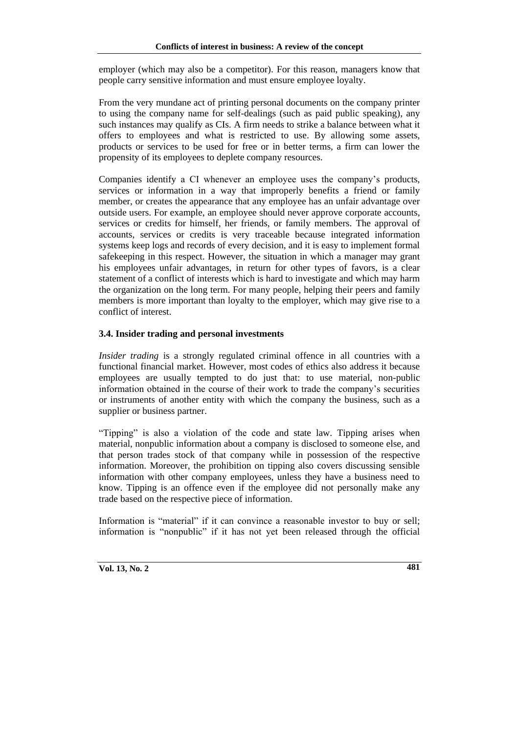employer (which may also be a competitor). For this reason, managers know that people carry sensitive information and must ensure employee loyalty.

From the very mundane act of printing personal documents on the company printer to using the company name for self-dealings (such as paid public speaking), any such instances may qualify as CIs. A firm needs to strike a balance between what it offers to employees and what is restricted to use. By allowing some assets, products or services to be used for free or in better terms, a firm can lower the propensity of its employees to deplete company resources.

Companies identify a CI whenever an employee uses the company's products, services or information in a way that improperly benefits a friend or family member, or creates the appearance that any employee has an unfair advantage over outside users. For example, an employee should never approve corporate accounts, services or credits for himself, her friends, or family members. The approval of accounts, services or credits is very traceable because integrated information systems keep logs and records of every decision, and it is easy to implement formal safekeeping in this respect. However, the situation in which a manager may grant his employees unfair advantages, in return for other types of favors, is a clear statement of a conflict of interests which is hard to investigate and which may harm the organization on the long term. For many people, helping their peers and family members is more important than loyalty to the employer, which may give rise to a conflict of interest.

#### **3.4. Insider trading and personal investments**

*Insider trading* is a strongly regulated criminal offence in all countries with a functional financial market. However, most codes of ethics also address it because employees are usually tempted to do just that: to use material, non-public information obtained in the course of their work to trade the company's securities or instruments of another entity with which the company the business, such as a supplier or business partner.

"Tipping" is also a violation of the code and state law. Tipping arises when material, nonpublic information about a company is disclosed to someone else, and that person trades stock of that company while in possession of the respective information. Moreover, the prohibition on tipping also covers discussing sensible information with other company employees, unless they have a business need to know. Tipping is an offence even if the employee did not personally make any trade based on the respective piece of information.

Information is "material" if it can convince a reasonable investor to buy or sell; information is "nonpublic" if it has not yet been released through the official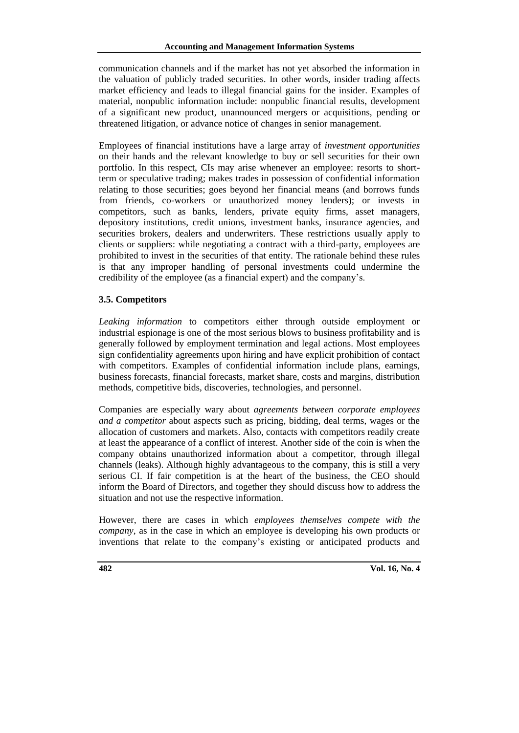communication channels and if the market has not yet absorbed the information in the valuation of publicly traded securities. In other words, insider trading affects market efficiency and leads to illegal financial gains for the insider. Examples of material, nonpublic information include: nonpublic financial results, development of a significant new product, unannounced mergers or acquisitions, pending or threatened litigation, or advance notice of changes in senior management.

Employees of financial institutions have a large array of *investment opportunities* on their hands and the relevant knowledge to buy or sell securities for their own portfolio. In this respect, CIs may arise whenever an employee: resorts to shortterm or speculative trading; makes trades in possession of confidential information relating to those securities; goes beyond her financial means (and borrows funds from friends, co-workers or unauthorized money lenders); or invests in competitors, such as banks, lenders, private equity firms, asset managers, depository institutions, credit unions, investment banks, insurance agencies, and securities brokers, dealers and underwriters. These restrictions usually apply to clients or suppliers: while negotiating a contract with a third-party, employees are prohibited to invest in the securities of that entity. The rationale behind these rules is that any improper handling of personal investments could undermine the credibility of the employee (as a financial expert) and the company's.

#### **3.5. Competitors**

*Leaking information* to competitors either through outside employment or industrial espionage is one of the most serious blows to business profitability and is generally followed by employment termination and legal actions. Most employees sign confidentiality agreements upon hiring and have explicit prohibition of contact with competitors. Examples of confidential information include plans, earnings, business forecasts, financial forecasts, market share, costs and margins, distribution methods, competitive bids, discoveries, technologies, and personnel.

Companies are especially wary about *agreements between corporate employees and a competitor* about aspects such as pricing, bidding, deal terms, wages or the allocation of customers and markets. Also, contacts with competitors readily create at least the appearance of a conflict of interest. Another side of the coin is when the company obtains unauthorized information about a competitor, through illegal channels (leaks). Although highly advantageous to the company, this is still a very serious CI. If fair competition is at the heart of the business, the CEO should inform the Board of Directors, and together they should discuss how to address the situation and not use the respective information.

However, there are cases in which *employees themselves compete with the company*, as in the case in which an employee is developing his own products or inventions that relate to the company's existing or anticipated products and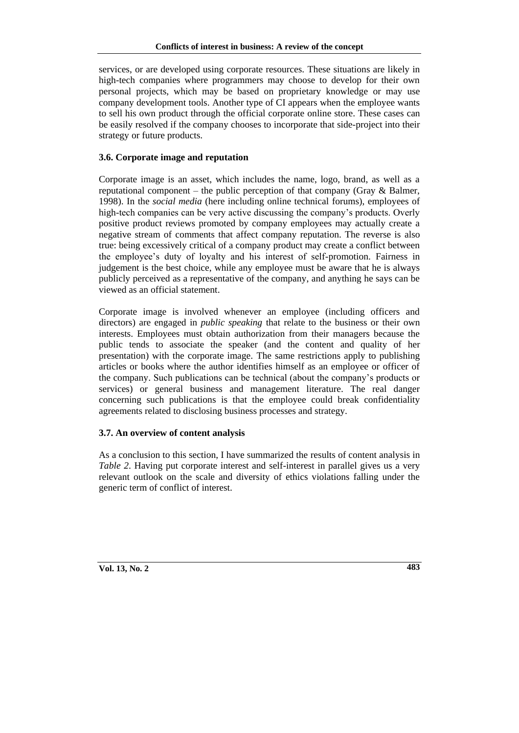services, or are developed using corporate resources. These situations are likely in high-tech companies where programmers may choose to develop for their own personal projects, which may be based on proprietary knowledge or may use company development tools. Another type of CI appears when the employee wants to sell his own product through the official corporate online store. These cases can be easily resolved if the company chooses to incorporate that side-project into their strategy or future products.

#### **3.6. Corporate image and reputation**

Corporate image is an asset, which includes the name, logo, brand, as well as a reputational component – the public perception of that company (Gray & Balmer, 1998). In the *social media* (here including online technical forums), employees of high-tech companies can be very active discussing the company's products. Overly positive product reviews promoted by company employees may actually create a negative stream of comments that affect company reputation. The reverse is also true: being excessively critical of a company product may create a conflict between the employee's duty of loyalty and his interest of self-promotion. Fairness in judgement is the best choice, while any employee must be aware that he is always publicly perceived as a representative of the company, and anything he says can be viewed as an official statement.

Corporate image is involved whenever an employee (including officers and directors) are engaged in *public speaking* that relate to the business or their own interests. Employees must obtain authorization from their managers because the public tends to associate the speaker (and the content and quality of her presentation) with the corporate image. The same restrictions apply to publishing articles or books where the author identifies himself as an employee or officer of the company. Such publications can be technical (about the company's products or services) or general business and management literature. The real danger concerning such publications is that the employee could break confidentiality agreements related to disclosing business processes and strategy.

#### **3.7. An overview of content analysis**

As a conclusion to this section, I have summarized the results of content analysis in *Table 2*. Having put corporate interest and self-interest in parallel gives us a very relevant outlook on the scale and diversity of ethics violations falling under the generic term of conflict of interest.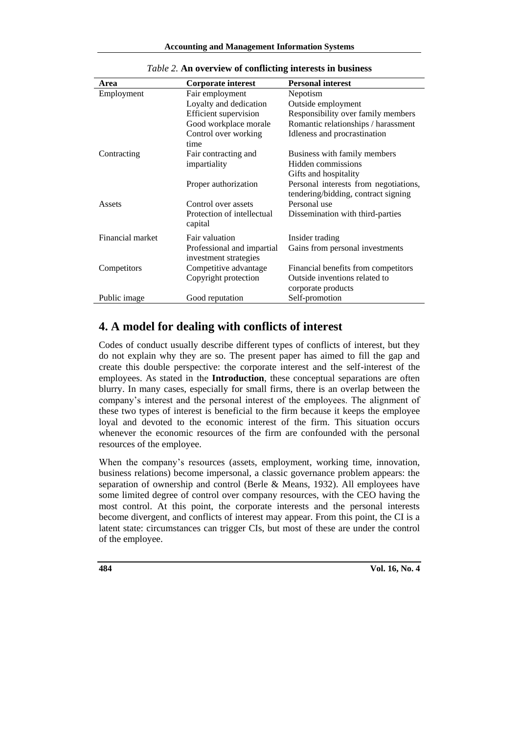| Area             | <b>Corporate interest</b>    | <b>Personal interest</b>              |  |  |
|------------------|------------------------------|---------------------------------------|--|--|
| Employment       | Fair employment              | Nepotism                              |  |  |
|                  | Loyalty and dedication       | Outside employment                    |  |  |
|                  | <b>Efficient</b> supervision | Responsibility over family members    |  |  |
|                  | Good workplace morale        | Romantic relationships / harassment   |  |  |
|                  | Control over working         | Idleness and procrastination          |  |  |
|                  | time                         |                                       |  |  |
| Contracting      | Fair contracting and         | Business with family members          |  |  |
|                  | impartiality                 | Hidden commissions                    |  |  |
|                  |                              | Gifts and hospitality                 |  |  |
|                  | Proper authorization         | Personal interests from negotiations, |  |  |
|                  |                              | tendering/bidding, contract signing   |  |  |
| Assets           | Control over assets          | Personal use                          |  |  |
|                  | Protection of intellectual   | Dissemination with third-parties      |  |  |
|                  | capital                      |                                       |  |  |
| Financial market | Fair valuation               | Insider trading                       |  |  |
|                  | Professional and impartial   | Gains from personal investments       |  |  |
|                  | investment strategies        |                                       |  |  |
| Competitors      | Competitive advantage        | Financial benefits from competitors   |  |  |
|                  | Copyright protection         | Outside inventions related to         |  |  |
|                  |                              | corporate products                    |  |  |
| Public image     | Good reputation              | Self-promotion                        |  |  |

| <i>Table 2.</i> An overview of conflicting interests in business |  |  |  |  |  |  |
|------------------------------------------------------------------|--|--|--|--|--|--|
|------------------------------------------------------------------|--|--|--|--|--|--|

## **4. A model for dealing with conflicts of interest**

Codes of conduct usually describe different types of conflicts of interest, but they do not explain why they are so. The present paper has aimed to fill the gap and create this double perspective: the corporate interest and the self-interest of the employees. As stated in the **Introduction**, these conceptual separations are often blurry. In many cases, especially for small firms, there is an overlap between the company's interest and the personal interest of the employees. The alignment of these two types of interest is beneficial to the firm because it keeps the employee loyal and devoted to the economic interest of the firm. This situation occurs whenever the economic resources of the firm are confounded with the personal resources of the employee.

When the company's resources (assets, employment, working time, innovation, business relations) become impersonal, a classic governance problem appears: the separation of ownership and control (Berle & Means, 1932). All employees have some limited degree of control over company resources, with the CEO having the most control. At this point, the corporate interests and the personal interests become divergent, and conflicts of interest may appear. From this point, the CI is a latent state: circumstances can trigger CIs, but most of these are under the control of the employee.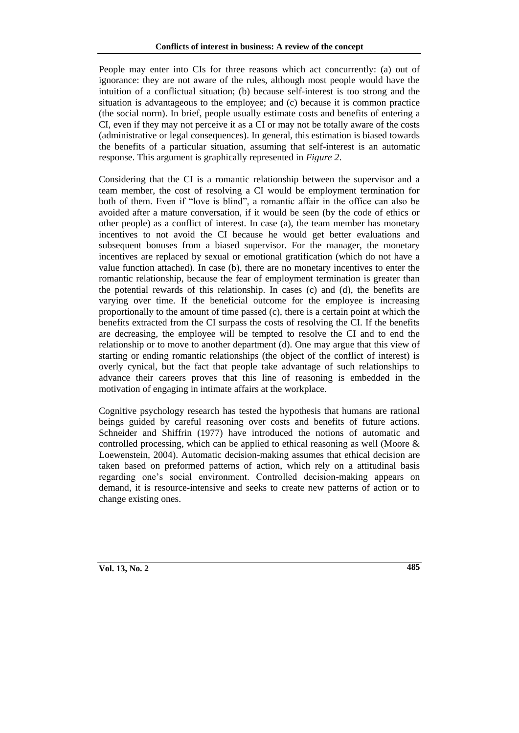People may enter into CIs for three reasons which act concurrently: (a) out of ignorance: they are not aware of the rules, although most people would have the intuition of a conflictual situation; (b) because self-interest is too strong and the situation is advantageous to the employee; and (c) because it is common practice (the social norm). In brief, people usually estimate costs and benefits of entering a CI, even if they may not perceive it as a CI or may not be totally aware of the costs (administrative or legal consequences). In general, this estimation is biased towards the benefits of a particular situation, assuming that self-interest is an automatic response. This argument is graphically represented in *Figure 2*.

Considering that the CI is a romantic relationship between the supervisor and a team member, the cost of resolving a CI would be employment termination for both of them. Even if "love is blind", a romantic affair in the office can also be avoided after a mature conversation, if it would be seen (by the code of ethics or other people) as a conflict of interest. In case (a), the team member has monetary incentives to not avoid the CI because he would get better evaluations and subsequent bonuses from a biased supervisor. For the manager, the monetary incentives are replaced by sexual or emotional gratification (which do not have a value function attached). In case (b), there are no monetary incentives to enter the romantic relationship, because the fear of employment termination is greater than the potential rewards of this relationship. In cases (c) and (d), the benefits are varying over time. If the beneficial outcome for the employee is increasing proportionally to the amount of time passed (c), there is a certain point at which the benefits extracted from the CI surpass the costs of resolving the CI. If the benefits are decreasing, the employee will be tempted to resolve the CI and to end the relationship or to move to another department (d). One may argue that this view of starting or ending romantic relationships (the object of the conflict of interest) is overly cynical, but the fact that people take advantage of such relationships to advance their careers proves that this line of reasoning is embedded in the motivation of engaging in intimate affairs at the workplace.

Cognitive psychology research has tested the hypothesis that humans are rational beings guided by careful reasoning over costs and benefits of future actions. Schneider and Shiffrin (1977) have introduced the notions of automatic and controlled processing, which can be applied to ethical reasoning as well (Moore & Loewenstein*,* 2004). Automatic decision-making assumes that ethical decision are taken based on preformed patterns of action, which rely on a attitudinal basis regarding one's social environment. Controlled decision-making appears on demand, it is resource-intensive and seeks to create new patterns of action or to change existing ones.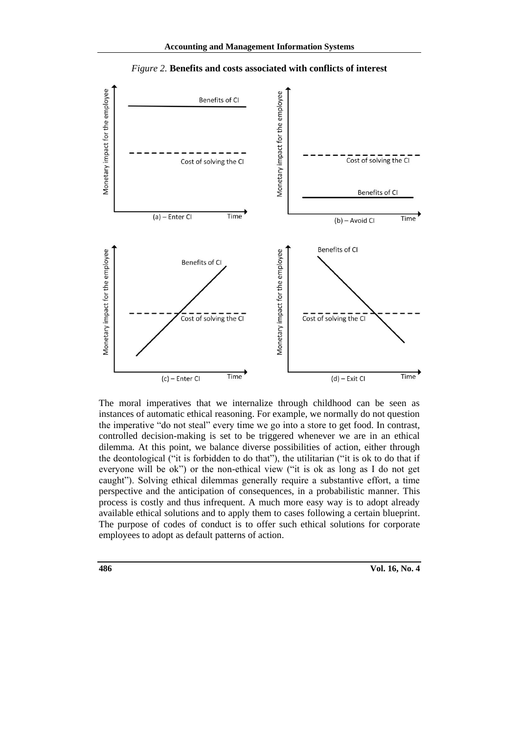![](_page_14_Figure_1.jpeg)

*Figure 2.* **Benefits and costs associated with conflicts of interest**

The moral imperatives that we internalize through childhood can be seen as instances of automatic ethical reasoning. For example, we normally do not question the imperative "do not steal" every time we go into a store to get food. In contrast, controlled decision-making is set to be triggered whenever we are in an ethical dilemma. At this point, we balance diverse possibilities of action, either through the deontological ("it is forbidden to do that"), the utilitarian ("it is ok to do that if everyone will be ok") or the non-ethical view ("it is ok as long as I do not get caught"). Solving ethical dilemmas generally require a substantive effort, a time perspective and the anticipation of consequences, in a probabilistic manner. This process is costly and thus infrequent. A much more easy way is to adopt already available ethical solutions and to apply them to cases following a certain blueprint. The purpose of codes of conduct is to offer such ethical solutions for corporate employees to adopt as default patterns of action.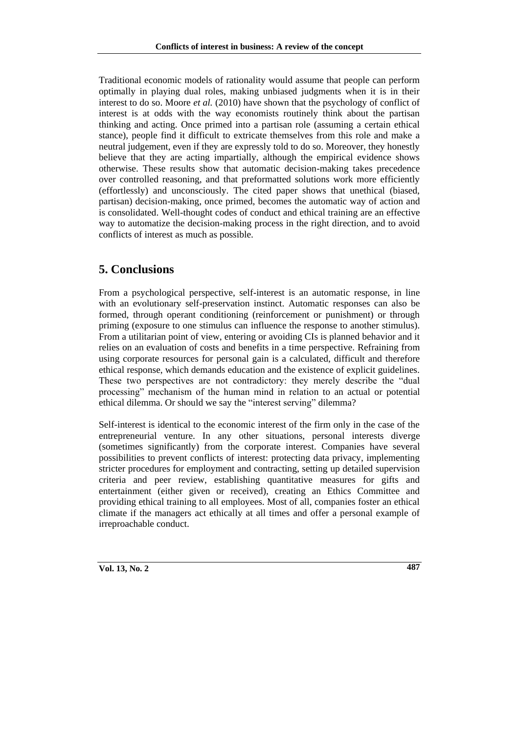Traditional economic models of rationality would assume that people can perform optimally in playing dual roles, making unbiased judgments when it is in their interest to do so. Moore *et al.* (2010) have shown that the psychology of conflict of interest is at odds with the way economists routinely think about the partisan thinking and acting. Once primed into a partisan role (assuming a certain ethical stance), people find it difficult to extricate themselves from this role and make a neutral judgement, even if they are expressly told to do so. Moreover, they honestly believe that they are acting impartially, although the empirical evidence shows otherwise. These results show that automatic decision-making takes precedence over controlled reasoning, and that preformatted solutions work more efficiently (effortlessly) and unconsciously. The cited paper shows that unethical (biased, partisan) decision-making, once primed, becomes the automatic way of action and is consolidated. Well-thought codes of conduct and ethical training are an effective way to automatize the decision-making process in the right direction, and to avoid conflicts of interest as much as possible.

## **5. Conclusions**

From a psychological perspective, self-interest is an automatic response, in line with an evolutionary self-preservation instinct. Automatic responses can also be formed, through operant conditioning (reinforcement or punishment) or through priming (exposure to one stimulus can influence the response to another stimulus). From a utilitarian point of view, entering or avoiding CIs is planned behavior and it relies on an evaluation of costs and benefits in a time perspective. Refraining from using corporate resources for personal gain is a calculated, difficult and therefore ethical response, which demands education and the existence of explicit guidelines. These two perspectives are not contradictory: they merely describe the "dual processing" mechanism of the human mind in relation to an actual or potential ethical dilemma. Or should we say the "interest serving" dilemma?

Self-interest is identical to the economic interest of the firm only in the case of the entrepreneurial venture. In any other situations, personal interests diverge (sometimes significantly) from the corporate interest. Companies have several possibilities to prevent conflicts of interest: protecting data privacy, implementing stricter procedures for employment and contracting, setting up detailed supervision criteria and peer review, establishing quantitative measures for gifts and entertainment (either given or received), creating an Ethics Committee and providing ethical training to all employees. Most of all, companies foster an ethical climate if the managers act ethically at all times and offer a personal example of irreproachable conduct.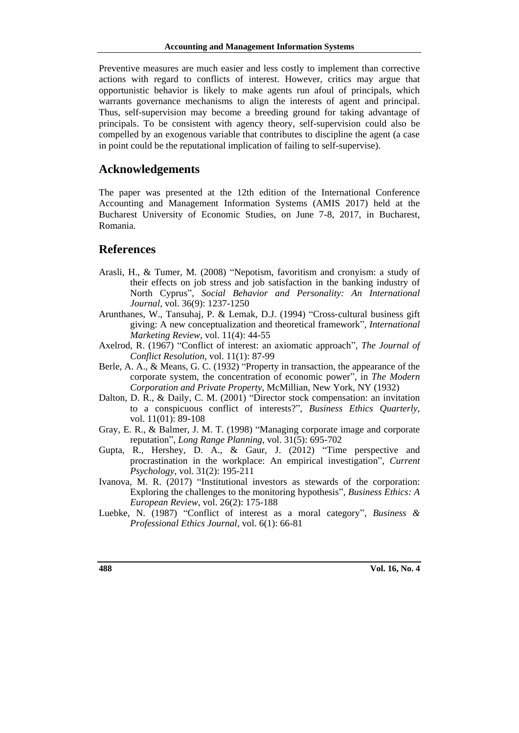Preventive measures are much easier and less costly to implement than corrective actions with regard to conflicts of interest. However, critics may argue that opportunistic behavior is likely to make agents run afoul of principals, which warrants governance mechanisms to align the interests of agent and principal. Thus, self-supervision may become a breeding ground for taking advantage of principals. To be consistent with agency theory, self-supervision could also be compelled by an exogenous variable that contributes to discipline the agent (a case in point could be the reputational implication of failing to self-supervise).

#### **Acknowledgements**

The paper was presented at the 12th edition of the International Conference Accounting and Management Information Systems (AMIS 2017) held at the Bucharest University of Economic Studies, on June 7-8, 2017, in Bucharest, Romania.

#### **References**

- Arasli, H., & Tumer, M. (2008) "Nepotism, favoritism and cronyism: a study of their effects on job stress and job satisfaction in the banking industry of North Cyprus", *Social Behavior and Personality: An International Journal*, vol. 36(9): 1237-1250
- Arunthanes, W., Tansuhaj, P. & Lemak, D.J. (1994) "Cross‐cultural business gift giving: A new conceptualization and theoretical framework", *International Marketing Review*, vol. 11(4): 44-55
- Axelrod, R. (1967) "Conflict of interest: an axiomatic approach", *The Journal of Conflict Resolution*, vol. 11(1): 87-99
- Berle, A. A., & Means, G. C. (1932) "Property in transaction, the appearance of the corporate system, the concentration of economic power", in *The Modern Corporation and Private Property*, McMillian, New York, NY (1932)
- Dalton, D. R., & Daily, C. M. (2001) "Director stock compensation: an invitation to a conspicuous conflict of interests?", *Business Ethics Quarterly*, vol. 11(01): 89-108
- Gray, E. R., & Balmer, J. M. T. (1998) "Managing corporate image and corporate reputation", *Long Range Planning*, vol. 31(5): 695-702
- Gupta, R., Hershey, D. A., & Gaur, J. (2012) "Time perspective and procrastination in the workplace: An empirical investigation", *Current Psychology*, vol. 31(2): 195-211
- Ivanova, M. R. (2017) "Institutional investors as stewards of the corporation: Exploring the challenges to the monitoring hypothesis", *Business Ethics: A European Review*, vol. 26(2): 175-188
- Luebke, N. (1987) "Conflict of interest as a moral category", *Business & Professional Ethics Journal*, vol. 6(1): 66-81